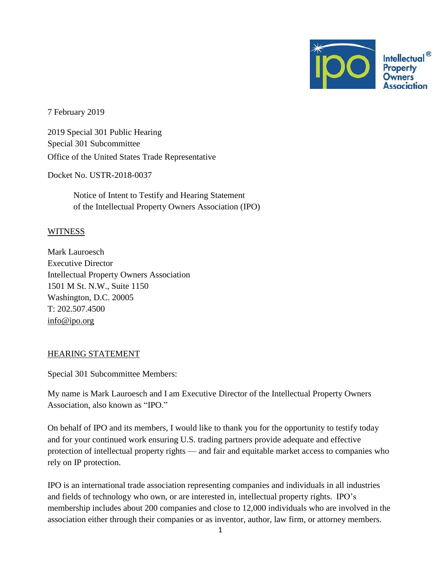

7 February 2019

2019 Special 301 Public Hearing Special 301 Subcommittee Office of the United States Trade Representative

Docket No. USTR-2018-0037

Notice of Intent to Testify and Hearing Statement of the Intellectual Property Owners Association (IPO)

## **WITNESS**

Mark Lauroesch Executive Director Intellectual Property Owners Association 1501 M St. N.W., Suite 1150 Washington, D.C. 20005 T: 202.507.4500 [info@ipo.org](mailto:info@ipo.org)

## HEARING STATEMENT

Special 301 Subcommittee Members:

My name is Mark Lauroesch and I am Executive Director of the Intellectual Property Owners Association, also known as "IPO."

On behalf of IPO and its members, I would like to thank you for the opportunity to testify today and for your continued work ensuring U.S. trading partners provide adequate and effective protection of intellectual property rights — and fair and equitable market access to companies who rely on IP protection.

IPO is an international trade association representing companies and individuals in all industries and fields of technology who own, or are interested in, intellectual property rights. IPO's membership includes about 200 companies and close to 12,000 individuals who are involved in the association either through their companies or as inventor, author, law firm, or attorney members.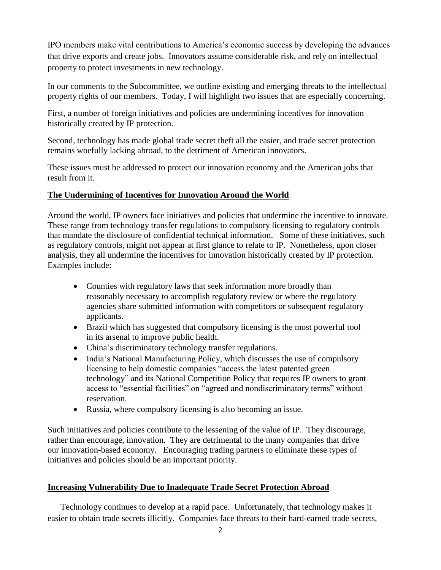IPO members make vital contributions to America's economic success by developing the advances that drive exports and create jobs. Innovators assume considerable risk, and rely on intellectual property to protect investments in new technology.

In our comments to the Subcommittee, we outline existing and emerging threats to the intellectual property rights of our members. Today, I will highlight two issues that are especially concerning.

First, a number of foreign initiatives and policies are undermining incentives for innovation historically created by IP protection.

Second, technology has made global trade secret theft all the easier, and trade secret protection remains woefully lacking abroad, to the detriment of American innovators.

These issues must be addressed to protect our innovation economy and the American jobs that result from it.

## **The Undermining of Incentives for Innovation Around the World**

Around the world, IP owners face initiatives and policies that undermine the incentive to innovate. These range from technology transfer regulations to compulsory licensing to regulatory controls that mandate the disclosure of confidential technical information. Some of these initiatives, such as regulatory controls, might not appear at first glance to relate to IP. Nonetheless, upon closer analysis, they all undermine the incentives for innovation historically created by IP protection. Examples include:

- Counties with regulatory laws that seek information more broadly than reasonably necessary to accomplish regulatory review or where the regulatory agencies share submitted information with competitors or subsequent regulatory applicants.
- Brazil which has suggested that compulsory licensing is the most powerful tool in its arsenal to improve public health.
- China's discriminatory technology transfer regulations.
- India's National Manufacturing Policy, which discusses the use of compulsory licensing to help domestic companies "access the latest patented green technology" and its National Competition Policy that requires IP owners to grant access to "essential facilities" on "agreed and nondiscriminatory terms" without reservation.
- Russia, where compulsory licensing is also becoming an issue.

Such initiatives and policies contribute to the lessening of the value of IP. They discourage, rather than encourage, innovation. They are detrimental to the many companies that drive our innovation-based economy. Encouraging trading partners to eliminate these types of initiatives and policies should be an important priority.

## **Increasing Vulnerability Due to Inadequate Trade Secret Protection Abroad**

Technology continues to develop at a rapid pace. Unfortunately, that technology makes it easier to obtain trade secrets illicitly. Companies face threats to their hard-earned trade secrets,